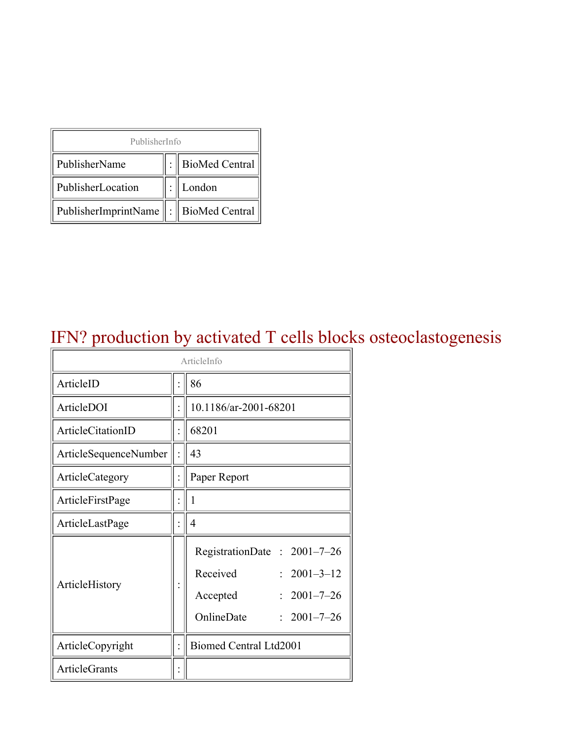| PublisherInfo                               |  |                    |  |  |
|---------------------------------------------|--|--------------------|--|--|
| PublisherName                               |  | :   BioMed Central |  |  |
| PublisherLocation                           |  | London             |  |  |
| PublisherImprintName    :    BioMed Central |  |                    |  |  |

### IFN? production by activated T cells blocks osteoclastogenesis

| ArticleInfo           |  |                                                                                                                                |  |
|-----------------------|--|--------------------------------------------------------------------------------------------------------------------------------|--|
| ArticleID             |  | 86                                                                                                                             |  |
| ArticleDOI            |  | 10.1186/ar-2001-68201                                                                                                          |  |
| ArticleCitationID     |  | 68201                                                                                                                          |  |
| ArticleSequenceNumber |  | 43                                                                                                                             |  |
| ArticleCategory       |  | Paper Report                                                                                                                   |  |
| ArticleFirstPage      |  | 1                                                                                                                              |  |
| ArticleLastPage       |  | 4                                                                                                                              |  |
| ArticleHistory        |  | RegistrationDate: 2001-7-26<br>Received<br>$: 2001 - 3 - 12$<br>$2001 - 7 - 26$<br>Accepted<br>OnlineDate<br>$: 2001 - 7 - 26$ |  |
| ArticleCopyright      |  | Biomed Central Ltd2001                                                                                                         |  |
| <b>ArticleGrants</b>  |  |                                                                                                                                |  |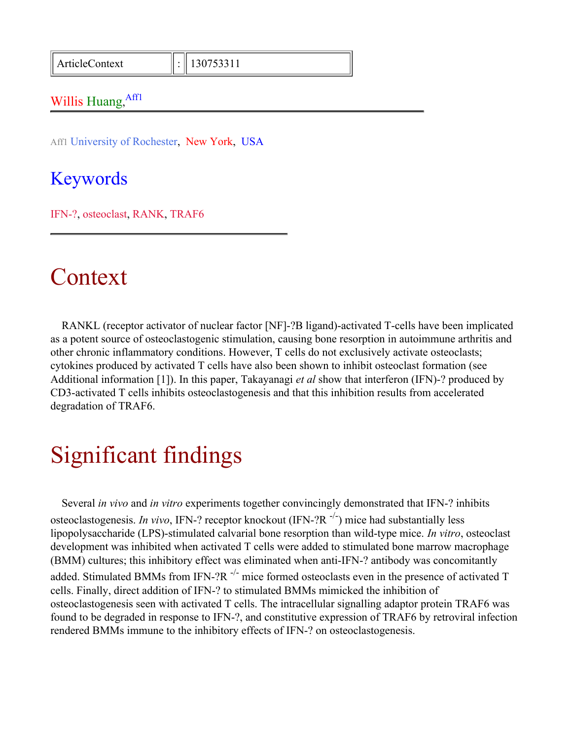ArticleContext : 130753311

#### Willis Huang, Affl

Aff1 University of Rochester, New York, USA

#### Keywords

IFN-?, osteoclast, RANK, TRAF6

#### Context

RANKL (receptor activator of nuclear factor [NF]-?B ligand)-activated T-cells have been implicated as a potent source of osteoclastogenic stimulation, causing bone resorption in autoimmune arthritis and other chronic inflammatory conditions. However, T cells do not exclusively activate osteoclasts; cytokines produced by activated T cells have also been shown to inhibit osteoclast formation (see Additional information [1]). In this paper, Takayanagi *et al* show that interferon (IFN)-? produced by CD3-activated T cells inhibits osteoclastogenesis and that this inhibition results from accelerated degradation of TRAF6.

# Significant findings

Several *in vivo* and *in vitro* experiments together convincingly demonstrated that IFN-? inhibits osteoclastogenesis. *In vivo*, IFN-? receptor knockout (IFN-?R -/-) mice had substantially less lipopolysaccharide (LPS)-stimulated calvarial bone resorption than wild-type mice. *In vitro*, osteoclast development was inhibited when activated T cells were added to stimulated bone marrow macrophage (BMM) cultures; this inhibitory effect was eliminated when anti-IFN-? antibody was concomitantly added. Stimulated BMMs from IFN-?R  $^{-/-}$  mice formed osteoclasts even in the presence of activated T cells. Finally, direct addition of IFN-? to stimulated BMMs mimicked the inhibition of osteoclastogenesis seen with activated T cells. The intracellular signalling adaptor protein TRAF6 was found to be degraded in response to IFN-?, and constitutive expression of TRAF6 by retroviral infection rendered BMMs immune to the inhibitory effects of IFN-? on osteoclastogenesis.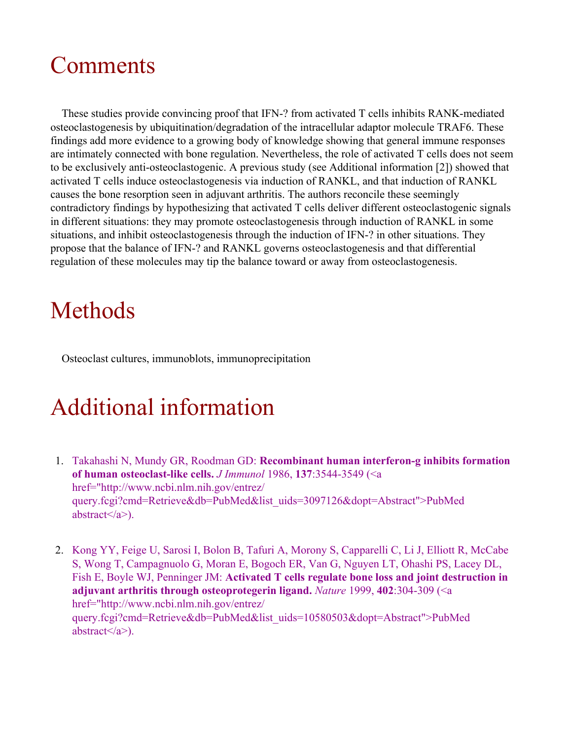# Comments

These studies provide convincing proof that IFN-? from activated T cells inhibits RANK-mediated osteoclastogenesis by ubiquitination/degradation of the intracellular adaptor molecule TRAF6. These findings add more evidence to a growing body of knowledge showing that general immune responses are intimately connected with bone regulation. Nevertheless, the role of activated T cells does not seem to be exclusively anti-osteoclastogenic. A previous study (see Additional information [2]) showed that activated T cells induce osteoclastogenesis via induction of RANKL, and that induction of RANKL causes the bone resorption seen in adjuvant arthritis. The authors reconcile these seemingly contradictory findings by hypothesizing that activated T cells deliver different osteoclastogenic signals in different situations: they may promote osteoclastogenesis through induction of RANKL in some situations, and inhibit osteoclastogenesis through the induction of IFN-? in other situations. They propose that the balance of IFN-? and RANKL governs osteoclastogenesis and that differential regulation of these molecules may tip the balance toward or away from osteoclastogenesis.

# Methods

Osteoclast cultures, immunoblots, immunoprecipitation

# Additional information

- 1. Takahashi N, Mundy GR, Roodman GD: **Recombinant human interferon-g inhibits formation of human osteoclast-like cells.** *J Immunol* 1986, **137**:3544-3549 (<a href="http://www.ncbi.nlm.nih.gov/entrez/ query.fcgi?cmd=Retrieve&db=PubMed&list\_uids=3097126&dopt=Abstract">PubMed abstract $\langle a \rangle$ ).
- 2. Kong YY, Feige U, Sarosi I, Bolon B, Tafuri A, Morony S, Capparelli C, Li J, Elliott R, McCabe S, Wong T, Campagnuolo G, Moran E, Bogoch ER, Van G, Nguyen LT, Ohashi PS, Lacey DL, Fish E, Boyle WJ, Penninger JM: **Activated T cells regulate bone loss and joint destruction in adjuvant arthritis through osteoprotegerin ligand.** *Nature* 1999, **402**:304-309 (<a href="http://www.ncbi.nlm.nih.gov/entrez/ query.fcgi?cmd=Retrieve&db=PubMed&list\_uids=10580503&dopt=Abstract">PubMed abstract $\langle a \rangle$ ).